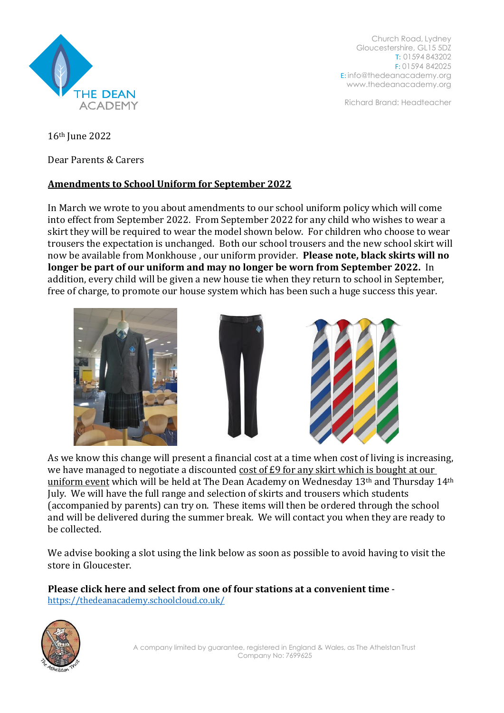

Church Road, Lydney Gloucestershire, GL15 5DZ T: 01594 843202 F: 01594 842025 E: [info@thedeanacademy.org](mailto:info@thedeanacademy.org) [www.thedeanacademy.org](http://www.thedeanacademy.org/)

Richard Brand: Headteacher

16th June 2022

Dear Parents & Carers

## **Amendments to School Uniform for September 2022**

In March we wrote to you about amendments to our school uniform policy which will come into effect from September 2022. From September 2022 for any child who wishes to wear a skirt they will be required to wear the model shown below. For children who choose to wear trousers the expectation is unchanged. Both our school trousers and the new school skirt will now be available from Monkhouse , our uniform provider. **Please note, black skirts will no longer be part of our uniform and may no longer be worn from September 2022.** In addition, every child will be given a new house tie when they return to school in September, free of charge, to promote our house system which has been such a huge success this year.







As we know this change will present a financial cost at a time when cost of living is increasing, we have managed to negotiate a discounted cost of £9 for any skirt which is bought at our uniform event which will be held at The Dean Academy on Wednesday 13th and Thursday 14th July. We will have the full range and selection of skirts and trousers which students (accompanied by parents) can try on. These items will then be ordered through the school and will be delivered during the summer break. We will contact you when they are ready to be collected.

We advise booking a slot using the link below as soon as possible to avoid having to visit the store in Gloucester.

**Please click here and select from one of four stations at a convenient time** <https://thedeanacademy.schoolcloud.co.uk/>